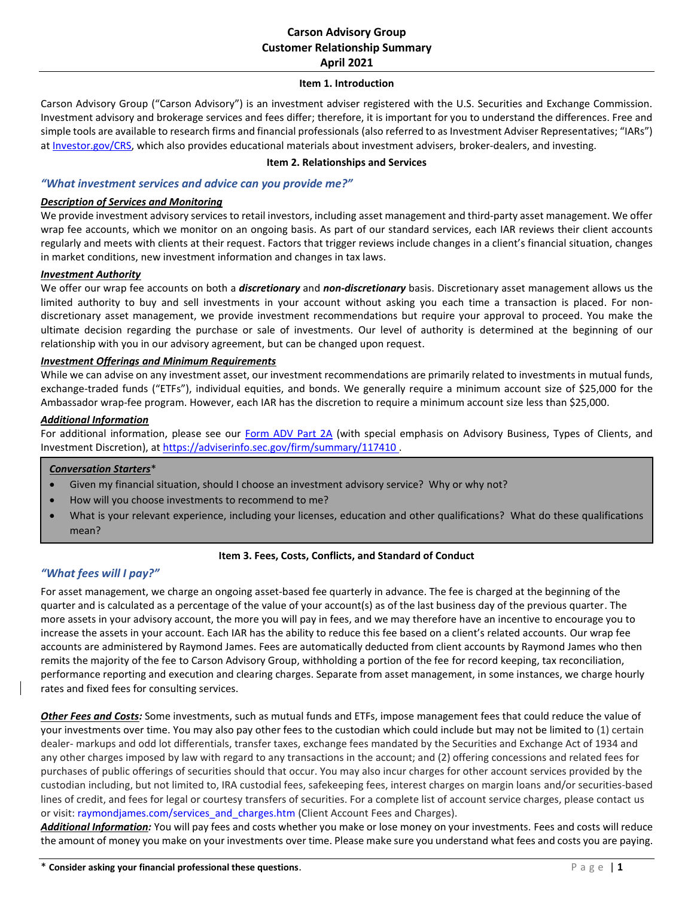# **Carson Advisory Group Customer Relationship Summary April 2021**

### **Item 1. Introduction**

Carson Advisory Group ("Carson Advisory") is an investment adviser registered with the U.S. Securities and Exchange Commission. Investment advisory and brokerage services and fees differ; therefore, it is important for you to understand the differences. Free and simple tools are available to research firms and financial professionals (also referred to as Investment Adviser Representatives; "IARs") a[t Investor.gov/CRS,](https://www.investor.gov/CRS) which also provides educational materials about investment advisers, broker-dealers, and investing.

### **Item 2. Relationships and Services**

# *"What investment services and advice can you provide me?"*

### *Description of Services and Monitoring*

We provide investment advisory services to retail investors, including asset management and third-party asset management. We offer wrap fee accounts, which we monitor on an ongoing basis. As part of our standard services, each IAR reviews their client accounts regularly and meets with clients at their request. Factors that trigger reviews include changes in a client's financial situation, changes in market conditions, new investment information and changes in tax laws.

### *Investment Authority*

We offer our wrap fee accounts on both a *discretionary* and *non-discretionary* basis. Discretionary asset management allows us the limited authority to buy and sell investments in your account without asking you each time a transaction is placed. For nondiscretionary asset management, we provide investment recommendations but require your approval to proceed. You make the ultimate decision regarding the purchase or sale of investments. Our level of authority is determined at the beginning of our relationship with you in our advisory agreement, but can be changed upon request.

### *Investment Offerings and Minimum Requirements*

While we can advise on any investment asset, our investment recommendations are primarily related to investments in mutual funds, exchange-traded funds ("ETFs"), individual equities, and bonds. We generally require a minimum account size of \$25,000 for the Ambassador wrap-fee program. However, each IAR has the discretion to require a minimum account size less than \$25,000.

## *Additional Information*

For additional information, please see our [Form ADV Part 2A](https://files.adviserinfo.sec.gov/IAPD/Content/Common/crd_iapd_Brochure.aspx?BRCHR_VRSN_ID=698906) (with special emphasis on Advisory Business, Types of Clients, and Investment Discretion), at<https://adviserinfo.sec.gov/firm/summary/117410> .

#### *Conversation Starters*\*

- Given my financial situation, should I choose an investment advisory service? Why or why not?
- How will you choose investments to recommend to me?
- What is your relevant experience, including your licenses, education and other qualifications? What do these qualifications mean?

## **Item 3. Fees, Costs, Conflicts, and Standard of Conduct**

## *"What fees will I pay?"*

For asset management, we charge an ongoing asset-based fee quarterly in advance. The fee is charged at the beginning of the quarter and is calculated as a percentage of the value of your account(s) as of the last business day of the previous quarter. The more assets in your advisory account, the more you will pay in fees, and we may therefore have an incentive to encourage you to increase the assets in your account. Each IAR has the ability to reduce this fee based on a client's related accounts. Our wrap fee accounts are administered by Raymond James. Fees are automatically deducted from client accounts by Raymond James who then remits the majority of the fee to Carson Advisory Group, withholding a portion of the fee for record keeping, tax reconciliation, performance reporting and execution and clearing charges. Separate from asset management, in some instances, we charge hourly rates and fixed fees for consulting services.

*Other Fees and Costs:* Some investments, such as mutual funds and ETFs, impose management fees that could reduce the value of your investments over time. You may also pay other fees to the custodian which could include but may not be limited to (1) certain dealer- markups and odd lot differentials, transfer taxes, exchange fees mandated by the Securities and Exchange Act of 1934 and any other charges imposed by law with regard to any transactions in the account; and (2) offering concessions and related fees for purchases of public offerings of securities should that occur. You may also incur charges for other account services provided by the custodian including, but not limited to, IRA custodial fees, safekeeping fees, interest charges on margin loans and/or securities-based lines of credit, and fees for legal or courtesy transfers of securities. For a complete list of account service charges, please contact us or visit: raymondjames.com/services\_and\_charges.htm (Client Account Fees and Charges).

*Additional Information:* You will pay fees and costs whether you make or lose money on your investments. Fees and costs will reduce the amount of money you make on your investments over time. Please make sure you understand what fees and costs you are paying.